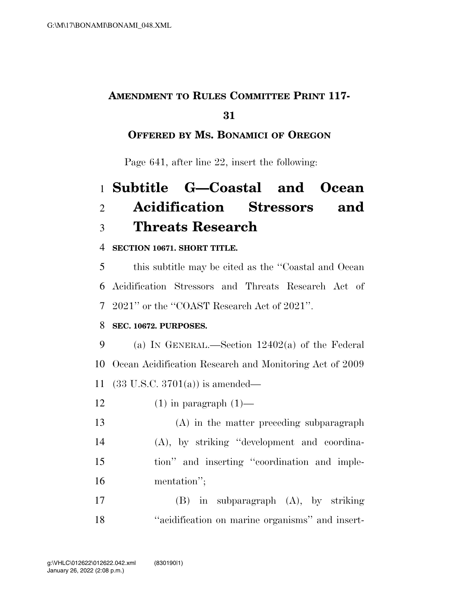## **AMENDMENT TO RULES COMMITTEE PRINT 117-**

## 

## **OFFERED BY MS. BONAMICI OF OREGON**

Page 641, after line 22, insert the following:

# **Subtitle G—Coastal and Ocean Acidification Stressors and Threats Research**

### **SECTION 10671. SHORT TITLE.**

 this subtitle may be cited as the ''Coastal and Ocean Acidification Stressors and Threats Research Act of 2021'' or the ''COAST Research Act of 2021''.

### **SEC. 10672. PURPOSES.**

 (a) IN GENERAL.—Section 12402(a) of the Federal Ocean Acidification Research and Monitoring Act of 2009 (33 U.S.C. 3701(a)) is amended—

12  $(1)$  in paragraph  $(1)$ —

 (A) in the matter preceding subparagraph (A), by striking ''development and coordina- tion'' and inserting ''coordination and imple-mentation'';

 (B) in subparagraph (A), by striking ''acidification on marine organisms'' and insert-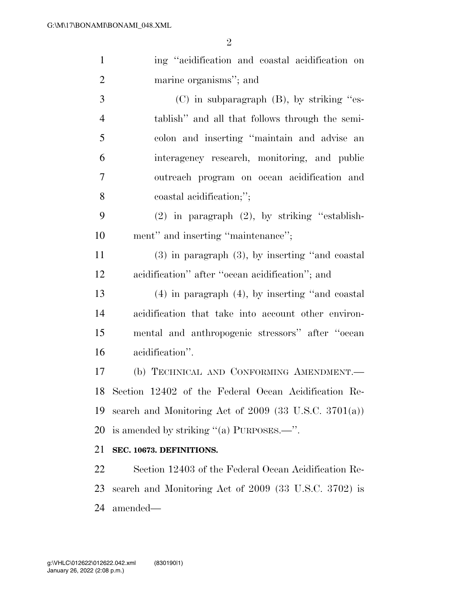| $\mathbf{1}$   | ing "acidification and coastal acidification on            |
|----------------|------------------------------------------------------------|
| $\overline{2}$ | marine organisms"; and                                     |
| 3              | $(C)$ in subparagraph $(B)$ , by striking "es-             |
| $\overline{4}$ | tablish" and all that follows through the semi-            |
| 5              | colon and inserting "maintain and advise an                |
| 6              | interagency research, monitoring, and public               |
| 7              | outreach program on ocean acidification and                |
| 8              | coastal acidification;";                                   |
| 9              | $(2)$ in paragraph $(2)$ , by striking "establish-         |
| 10             | ment" and inserting "maintenance";                         |
| 11             | $(3)$ in paragraph $(3)$ , by inserting "and coastal       |
| 12             | acidification" after "ocean acidification"; and            |
| 13             | $(4)$ in paragraph $(4)$ , by inserting "and coastal       |
| 14             | acidification that take into account other environ-        |
| 15             | mental and anthropogenic stressors" after "ocean           |
| 16             | acidification".                                            |
| 17             | (b) TECHNICAL AND CONFORMING AMENDMENT.-                   |
|                | 18 Section 12402 of the Federal Ocean Acidification Re-    |
| 19             | search and Monitoring Act of $2009$ (33 U.S.C. $3701(a)$ ) |
| 20             | is amended by striking " $(a)$ PURPOSES.—".                |
| 21             | SEC. 10673. DEFINITIONS.                                   |
| 22             | Section 12403 of the Federal Ocean Acidification Re-       |
| 23             | search and Monitoring Act of 2009 (33 U.S.C. 3702) is      |
| 24             | amended—                                                   |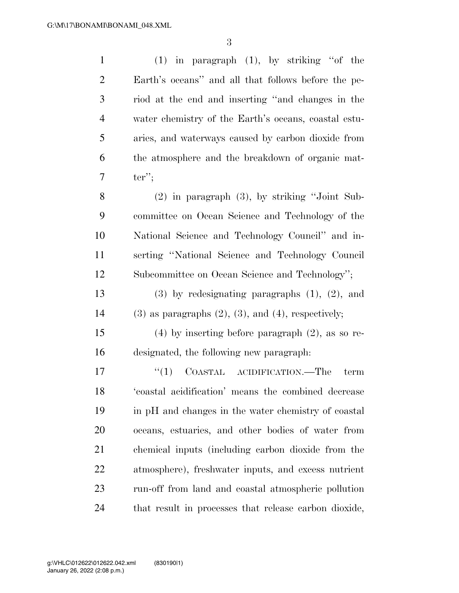| $\mathbf{1}$   | $(1)$ in paragraph $(1)$ , by striking "of the                |
|----------------|---------------------------------------------------------------|
| $\overline{2}$ | Earth's oceans" and all that follows before the pe-           |
| $\mathfrak{Z}$ | riod at the end and inserting "and changes in the             |
| $\overline{4}$ | water chemistry of the Earth's oceans, coastal estu-          |
| 5              | aries, and waterways caused by carbon dioxide from            |
| 6              | the atmosphere and the breakdown of organic mat-              |
| 7              | $ter$ ";                                                      |
| 8              | $(2)$ in paragraph $(3)$ , by striking "Joint Sub-            |
| 9              | committee on Ocean Science and Technology of the              |
| 10             | National Science and Technology Council" and in-              |
| 11             | serting "National Science and Technology Council              |
| 12             | Subcommittee on Ocean Science and Technology";                |
| 13             | $(3)$ by redesignating paragraphs $(1)$ , $(2)$ , and         |
| 14             | $(3)$ as paragraphs $(2)$ , $(3)$ , and $(4)$ , respectively; |
| 15             | $(4)$ by inserting before paragraph $(2)$ , as so re-         |
| 16             | designated, the following new paragraph:                      |
| 17             | ``(1)<br>COASTAL ACIDIFICATION.—The<br>term                   |
| 18             | 'coastal acidification' means the combined decrease           |
| 19             | in pH and changes in the water chemistry of coastal           |
| 20             | oceans, estuaries, and other bodies of water from             |
| 21             | chemical inputs (including carbon dioxide from the            |
| 22             | atmosphere), freshwater inputs, and excess nutrient           |
| 23             | run-off from land and coastal atmospheric pollution           |
| 24             | that result in processes that release carbon dioxide,         |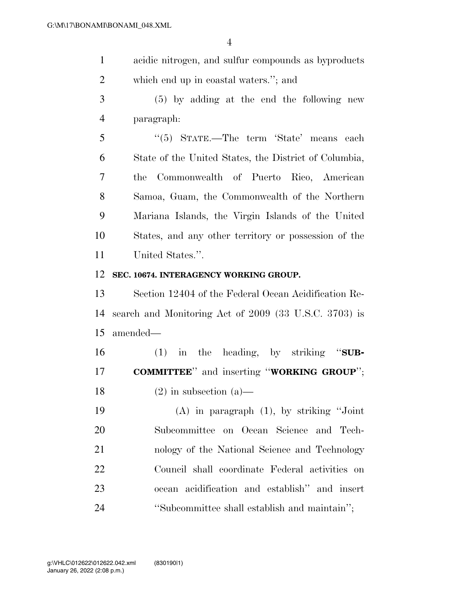- acidic nitrogen, and sulfur compounds as byproducts which end up in coastal waters.''; and
- (5) by adding at the end the following new paragraph:
- ''(5) STATE.—The term 'State' means each State of the United States, the District of Columbia, the Commonwealth of Puerto Rico, American Samoa, Guam, the Commonwealth of the Northern Mariana Islands, the Virgin Islands of the United States, and any other territory or possession of the United States.''.

#### **SEC. 10674. INTERAGENCY WORKING GROUP.**

 Section 12404 of the Federal Ocean Acidification Re- search and Monitoring Act of 2009 (33 U.S.C. 3703) is amended—

 (1) in the heading, by striking ''**SUB-COMMITTEE**'' and inserting ''**WORKING GROUP**'';

18 (2) in subsection (a)—

 (A) in paragraph (1), by striking ''Joint Subcommittee on Ocean Science and Tech- nology of the National Science and Technology Council shall coordinate Federal activities on ocean acidification and establish'' and insert ''Subcommittee shall establish and maintain'';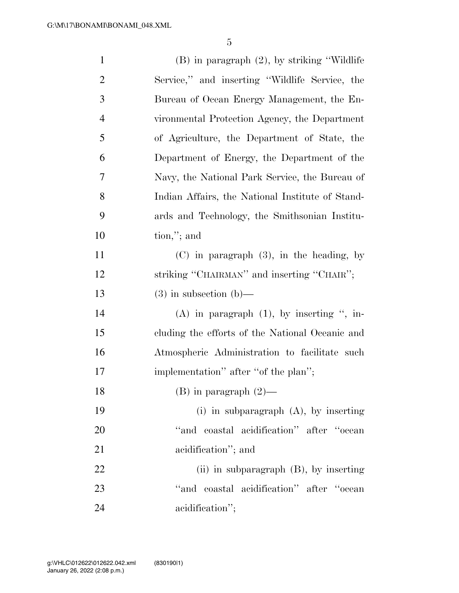| $\mathbf{1}$   | $(B)$ in paragraph $(2)$ , by striking "Wildlife" |
|----------------|---------------------------------------------------|
| $\overline{2}$ | Service," and inserting "Wildlife Service, the    |
| 3              | Bureau of Ocean Energy Management, the En-        |
| $\overline{4}$ | vironmental Protection Agency, the Department     |
| 5              | of Agriculture, the Department of State, the      |
| 6              | Department of Energy, the Department of the       |
| 7              | Navy, the National Park Service, the Bureau of    |
| 8              | Indian Affairs, the National Institute of Stand-  |
| 9              | ards and Technology, the Smithsonian Institu-     |
| 10             | $\text{tion}, \text{''}; \text{and}$              |
| 11             | $(C)$ in paragraph $(3)$ , in the heading, by     |
| 12             | striking "CHAIRMAN" and inserting "CHAIR";        |
| 13             | $(3)$ in subsection $(b)$ —                       |
| 14             | $(A)$ in paragraph $(1)$ , by inserting ", in-    |
| 15             | cluding the efforts of the National Oceanic and   |
| 16             | Atmospheric Administration to facilitate such     |
| $17\,$         | implementation" after "of the plan";              |
| 18             | $(B)$ in paragraph $(2)$ —                        |
| 19             | (i) in subparagraph $(A)$ , by inserting          |
| 20             | "and coastal acidification" after "ocean          |
| 21             | acidification"; and                               |
| 22             | (ii) in subparagraph $(B)$ , by inserting         |
| 23             | "and coastal acidification" after "ocean          |
|                |                                                   |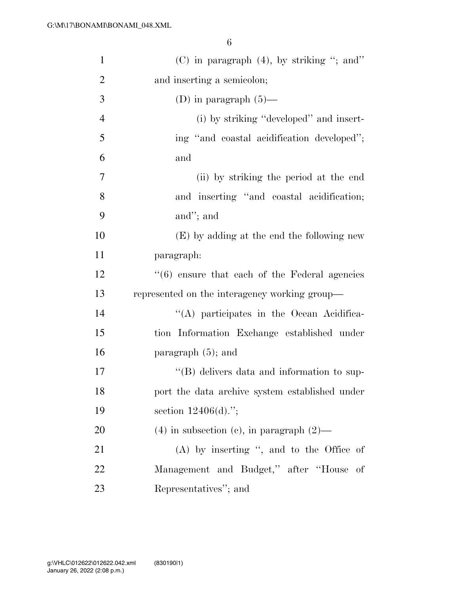| $\mathbf{1}$   | $(C)$ in paragraph $(4)$ , by striking "; and"   |
|----------------|--------------------------------------------------|
| $\overline{2}$ | and inserting a semicolon;                       |
| 3              | (D) in paragraph $(5)$ —                         |
| $\overline{4}$ | (i) by striking "developed" and insert-          |
| 5              | ing "and coastal acidification developed";       |
| 6              | and                                              |
| $\overline{7}$ | (ii) by striking the period at the end           |
| 8              | and inserting "and coastal acidification;        |
| 9              | and"; and                                        |
| 10             | (E) by adding at the end the following new       |
| 11             | paragraph:                                       |
| 12             | $(6)$ ensure that each of the Federal agencies   |
| 13             | represented on the interagency working group—    |
| 14             | "(A) participates in the Ocean Acidifica-        |
| 15             | tion Information Exchange established under      |
| 16             | paragraph $(5)$ ; and                            |
| 17             | "(B) delivers data and information to sup-       |
| 18             | port the data archive system established under   |
| 19             | section $12406(d)$ .";                           |
| 20             | $(4)$ in subsection $(e)$ , in paragraph $(2)$ — |
| 21             | $(A)$ by inserting ", and to the Office of       |
| 22             | Management and Budget," after "House of          |
| 23             | Representatives"; and                            |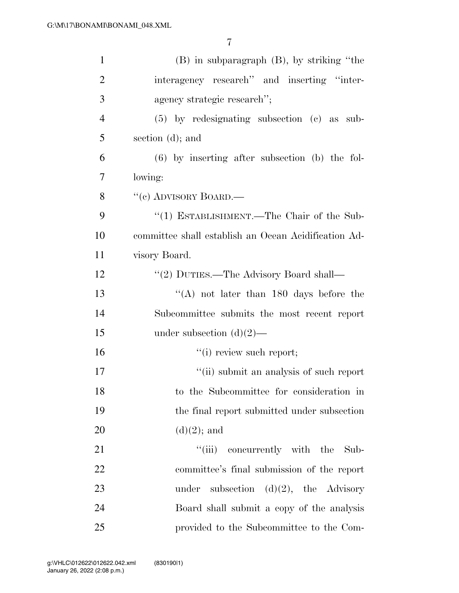| $\mathbf{1}$   | $(B)$ in subparagraph $(B)$ , by striking "the       |
|----------------|------------------------------------------------------|
| $\overline{2}$ | interagency research" and inserting "inter-          |
| 3              | agency strategic research";                          |
| $\overline{4}$ | $(5)$ by redesignating subsection $(e)$ as sub-      |
| 5              | section (d); and                                     |
| 6              | $(6)$ by inserting after subsection (b) the fol-     |
| $\overline{7}$ | lowing:                                              |
| 8              | "(c) ADVISORY BOARD.—                                |
| 9              | "(1) ESTABLISHMENT.—The Chair of the Sub-            |
| 10             | committee shall establish an Ocean Acidification Ad- |
| 11             | visory Board.                                        |
| 12             | "(2) DUTIES.—The Advisory Board shall—               |
| 13             | "(A) not later than $180$ days before the            |
| 14             | Subcommittee submits the most recent report          |
| 15             | under subsection $(d)(2)$ —                          |
| 16             | "(i) review such report;                             |
| 17             | "(ii) submit an analysis of such report              |
| 18             | to the Subcommittee for consideration in             |
| 19             | the final report submitted under subsection          |
| 20             | $(d)(2)$ ; and                                       |
| 21             | "(iii) concurrently with the<br>Sub-                 |
| 22             | committee's final submission of the report           |
| 23             | subsection $(d)(2)$ , the Advisory<br>under          |
| 24             | Board shall submit a copy of the analysis            |
| $25\,$         | provided to the Subcommittee to the Com-             |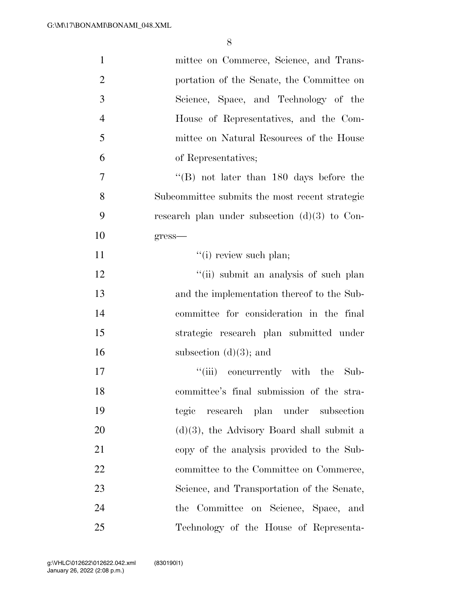| $\mathbf{1}$   | mittee on Commerce, Science, and Trans-                     |
|----------------|-------------------------------------------------------------|
| $\overline{2}$ | portation of the Senate, the Committee on                   |
| 3              | Science, Space, and Technology of the                       |
| $\overline{4}$ | House of Representatives, and the Com-                      |
| 5              | mittee on Natural Resources of the House                    |
| 6              | of Representatives;                                         |
| $\overline{7}$ | $\cdot$ <sup>"</sup> (B) not later than 180 days before the |
| 8              | Subcommittee submits the most recent strategic              |
| 9              | research plan under subsection $(d)(3)$ to Con-             |
| 10             | $gress$ —                                                   |
| 11             | "(i) review such plan;                                      |
| 12             | "(ii) submit an analysis of such plan                       |
| 13             | and the implementation thereof to the Sub-                  |
| 14             | committee for consideration in the final                    |
| 15             | strategic research plan submitted under                     |
| 16             | subsection $(d)(3)$ ; and                                   |
| 17             | "(iii) concurrently with the Sub-                           |
| 18             | committee's final submission of the stra-                   |
| 19             | tegic research plan under subsection                        |
| 20             | $(d)(3)$ , the Advisory Board shall submit a                |
| 21             | copy of the analysis provided to the Sub-                   |
| 22             | committee to the Committee on Commerce,                     |
| 23             | Science, and Transportation of the Senate,                  |
| 24             | the Committee on Science, Space, and                        |
| 25             | Technology of the House of Representa-                      |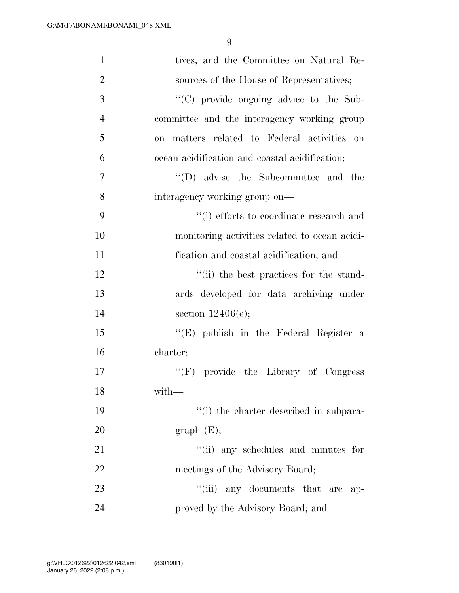| $\mathbf{1}$   | tives, and the Committee on Natural Re-        |
|----------------|------------------------------------------------|
| $\overline{2}$ | sources of the House of Representatives;       |
| 3              | "(C) provide ongoing advice to the Sub-        |
| $\overline{4}$ | committee and the interagency working group    |
| 5              | on matters related to Federal activities on    |
| 6              | ocean acidification and coastal acidification; |
| $\tau$         | $\lq\lq$ (D) advise the Subcommittee and the   |
| 8              | interagency working group on—                  |
| 9              | "(i) efforts to coordinate research and        |
| 10             | monitoring activities related to ocean acidi-  |
| 11             | fication and coastal acidification; and        |
| 12             | "(ii) the best practices for the stand-        |
| 13             | ards developed for data archiving under        |
| 14             | section $12406(e);$                            |
| 15             | " $(E)$ publish in the Federal Register a      |
| 16             | charter;                                       |
| 17             | "(F) provide the Library of Congress           |
| 18             | with—                                          |
| 19             | "(i) the charter described in subpara-         |
| 20             | graph(E);                                      |
| 21             | "(ii) any schedules and minutes for            |
| 22             | meetings of the Advisory Board;                |
| 23             | "(iii) any documents that are<br>ap-           |
| 24             | proved by the Advisory Board; and              |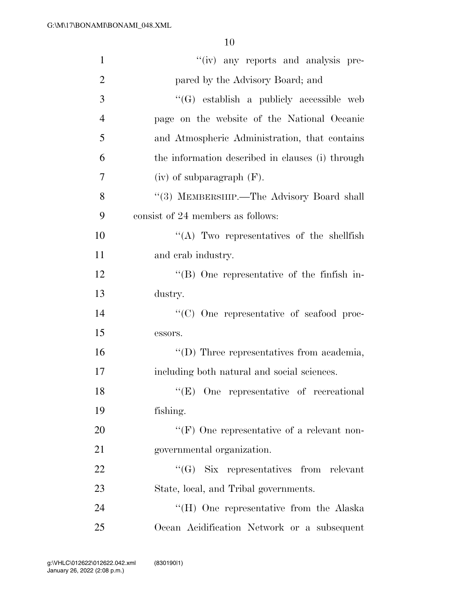| $\mathbf{1}$   | "(iv) any reports and analysis pre-                |
|----------------|----------------------------------------------------|
| $\overline{2}$ | pared by the Advisory Board; and                   |
| 3              | "(G) establish a publicly accessible web           |
| $\overline{4}$ | page on the website of the National Oceanic        |
| 5              | and Atmospheric Administration, that contains      |
| 6              | the information described in clauses (i) through   |
| 7              | $(iv)$ of subparagraph $(F)$ .                     |
| 8              | "(3) MEMBERSHIP.—The Advisory Board shall          |
| 9              | consist of 24 members as follows:                  |
| 10             | "(A) Two representatives of the shellfish          |
| 11             | and crab industry.                                 |
| 12             | $\lq\lq (B)$ One representative of the finfish in- |
| 13             | dustry.                                            |
| 14             | "(C) One representative of seafood proc-           |
| 15             | essors.                                            |
| 16             | "(D) Three representatives from academia,          |
| 17             | including both natural and social sciences.        |
| 18             | "(E) One representative of recreational            |
| 19             | fishing.                                           |
| 20             | "(F) One representative of a relevant non-         |
| 21             | governmental organization.                         |
| 22             | $\lq\lq(G)$ Six representatives from relevant      |
| 23             | State, local, and Tribal governments.              |
| 24             | "(H) One representative from the Alaska            |
| 25             | Ocean Acidification Network or a subsequent        |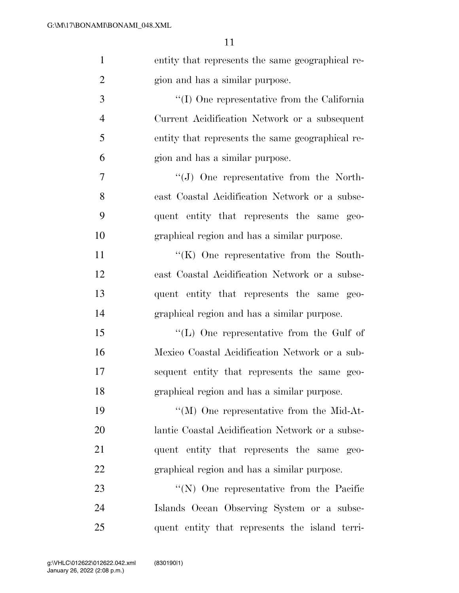| $\mathbf{1}$   | entity that represents the same geographical re-    |
|----------------|-----------------------------------------------------|
| $\overline{2}$ | gion and has a similar purpose.                     |
| 3              | $\lq\lq$ (I) One representative from the California |
| $\overline{4}$ | Current Acidification Network or a subsequent       |
| 5              | entity that represents the same geographical re-    |
| 6              | gion and has a similar purpose.                     |
| $\overline{7}$ | $\lq\lq(J)$ One representative from the North-      |
| 8              | east Coastal Acidification Network or a subse-      |
| 9              | quent entity that represents the same geo-          |
| 10             | graphical region and has a similar purpose.         |
| 11             | $\lq\lq$ (K) One representative from the South-     |
| 12             | east Coastal Acidification Network or a subse-      |
| 13             | quent entity that represents the same geo-          |
| 14             | graphical region and has a similar purpose.         |
| 15             | "(L) One representative from the Gulf of            |
| 16             | Mexico Coastal Acidification Network or a sub-      |
| 17             | sequent entity that represents the same geo-        |
| 18             | graphical region and has a similar purpose.         |
| 19             | $\lq\lq (M)$ One representative from the Mid-At-    |
| 20             | lantic Coastal Acidification Network or a subse-    |
| 21             | quent entity that represents the same geo-          |
| 22             | graphical region and has a similar purpose.         |
| 23             | $\lq\lq(N)$ One representative from the Pacific     |
| 24             | Islands Ocean Observing System or a subse-          |
| 25             | quent entity that represents the island terri-      |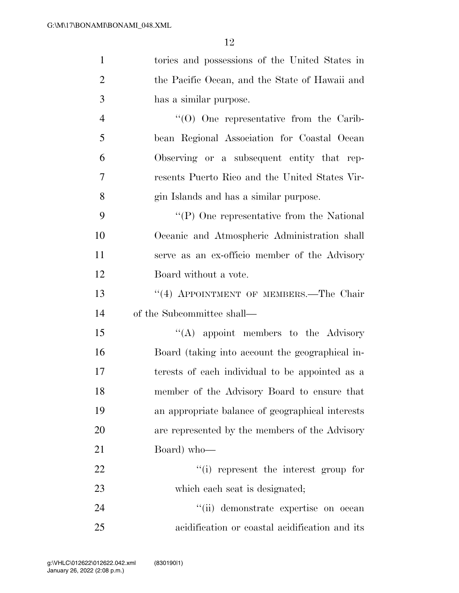| $\mathbf{1}$   | tories and possessions of the United States in    |
|----------------|---------------------------------------------------|
| $\overline{2}$ | the Pacific Ocean, and the State of Hawaii and    |
| 3              | has a similar purpose.                            |
| $\overline{4}$ | $\cdot$ (O) One representative from the Carib-    |
| 5              | bean Regional Association for Coastal Ocean       |
| 6              | Observing or a subsequent entity that rep-        |
| 7              | resents Puerto Rico and the United States Vir-    |
| 8              | gin Islands and has a similar purpose.            |
| 9              | $\lq\lq$ (P) One representative from the National |
| 10             | Oceanic and Atmospheric Administration shall      |
| 11             | serve as an ex-officio member of the Advisory     |
| 12             | Board without a vote.                             |
| 13             | "(4) APPOINTMENT OF MEMBERS.—The Chair            |
| 14             | of the Subcommittee shall—                        |
| 15             | $\lq\lq$ appoint members to the Advisory          |
| 16             | Board (taking into account the geographical in-   |
| 17             | terests of each individual to be appointed as a   |
| 18             | member of the Advisory Board to ensure that       |
| 19             | an appropriate balance of geographical interests  |
| 20             | are represented by the members of the Advisory    |
| 21             | Board) who-                                       |
| 22             | "(i) represent the interest group for             |
| 23             | which each seat is designated;                    |
| 24             | "(ii) demonstrate expertise on ocean              |
| 25             | acidification or coastal acidification and its    |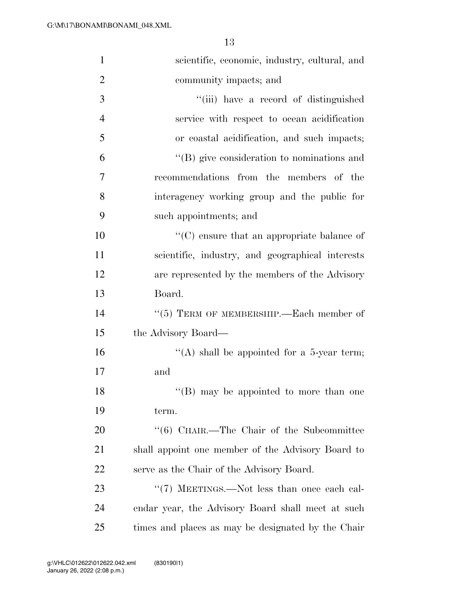| $\mathbf{1}$   | scientific, economic, industry, cultural, and      |
|----------------|----------------------------------------------------|
| $\overline{2}$ | community impacts; and                             |
| 3              | "(iii) have a record of distinguished              |
| $\overline{4}$ | service with respect to ocean acidification        |
| 5              | or coastal acidification, and such impacts;        |
| 6              | $\lq\lq (B)$ give consideration to nominations and |
| 7              | recommendations from the members of the            |
| 8              | interagency working group and the public for       |
| 9              | such appointments; and                             |
| 10             | $\lq\lq$ ensure that an appropriate balance of     |
| 11             | scientific, industry, and geographical interests   |
| 12             | are represented by the members of the Advisory     |
| 13             | Board.                                             |
| 14             | $(5)$ TERM OF MEMBERSHIP.—Each member of           |
| 15             | the Advisory Board—                                |
| 16             | "(A) shall be appointed for a 5-year term;         |
| 17             | and                                                |
| 18             | "(B) may be appointed to more than one             |
| 19             | term.                                              |
| 20             | "(6) CHAIR.—The Chair of the Subcommittee          |
| 21             | shall appoint one member of the Advisory Board to  |
| 22             | serve as the Chair of the Advisory Board.          |
| 23             | "(7) MEETINGS.—Not less than once each cal-        |
| 24             | endar year, the Advisory Board shall meet at such  |
| 25             | times and places as may be designated by the Chair |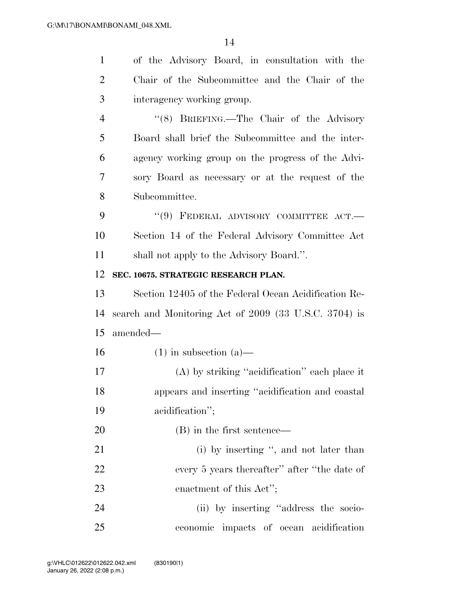| $\mathbf{1}$   | of the Advisory Board, in consultation with the       |
|----------------|-------------------------------------------------------|
| $\overline{2}$ | Chair of the Subcommittee and the Chair of the        |
| 3              | interagency working group.                            |
| $\overline{4}$ | "(8) BRIEFING.—The Chair of the Advisory              |
| 5              | Board shall brief the Subcommittee and the inter-     |
| 6              | agency working group on the progress of the Advi-     |
| 7              | sory Board as necessary or at the request of the      |
| 8              | Subcommittee.                                         |
| 9              | $``(9)$ FEDERAL ADVISORY COMMITTEE ACT.               |
| 10             | Section 14 of the Federal Advisory Committee Act      |
| 11             | shall not apply to the Advisory Board.".              |
| 12             | SEC. 10675. STRATEGIC RESEARCH PLAN.                  |
| 13             | Section 12405 of the Federal Ocean Acidification Re-  |
| 14             | search and Monitoring Act of 2009 (33 U.S.C. 3704) is |
| 15             | amended—                                              |
| 16             | $(1)$ in subsection $(a)$ —                           |
| 17             | (A) by striking "acidification" each place it         |
| 18             | appears and inserting "acidification and coastal      |
| 19             | acidification";                                       |
| 20             | (B) in the first sentence—                            |
| 21             | (i) by inserting ", and not later than                |
| 22             | every 5 years thereafter" after "the date of          |
| 23             | enactment of this Act";                               |
| 24             | (ii) by inserting "address the socio-                 |
| 25             | economic impacts of ocean acidification               |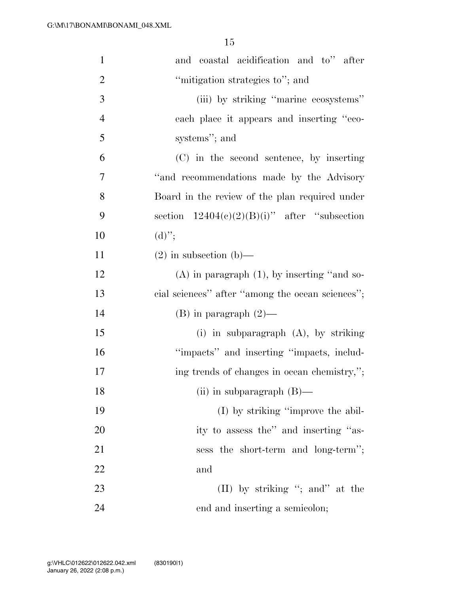| $\mathbf{1}$   | and coastal acidification and to" after          |
|----------------|--------------------------------------------------|
| $\overline{2}$ | "mitigation strategies to"; and                  |
| $\mathfrak{Z}$ | (iii) by striking "marine ecosystems"            |
| $\overline{4}$ | each place it appears and inserting "eco-        |
| 5              | systems"; and                                    |
| 6              | (C) in the second sentence, by inserting         |
| 7              | "and recommendations made by the Advisory        |
| 8              | Board in the review of the plan required under   |
| 9              | section $12404(c)(2)(B)(i)$ " after "subsection  |
| 10             | $(d)$ ";                                         |
| 11             | $(2)$ in subsection $(b)$ —                      |
| 12             | $(A)$ in paragraph $(1)$ , by inserting "and so- |
| 13             | cial sciences" after "among the ocean sciences"; |
| 14             | $(B)$ in paragraph $(2)$ —                       |
| 15             | (i) in subparagraph $(A)$ , by striking          |
| 16             | "impacts" and inserting "impacts, includ-        |
| 17             | ing trends of changes in ocean chemistry,";      |
| 18             | (ii) in subparagraph $(B)$ —                     |
| 19             | (I) by striking "improve the abil-               |
| 20             | ity to assess the" and inserting "as-            |
| 21             | sess the short-term and long-term";              |
| 22             | and                                              |
| 23             | (II) by striking "; and" at the                  |
| 24             | end and inserting a semicolon;                   |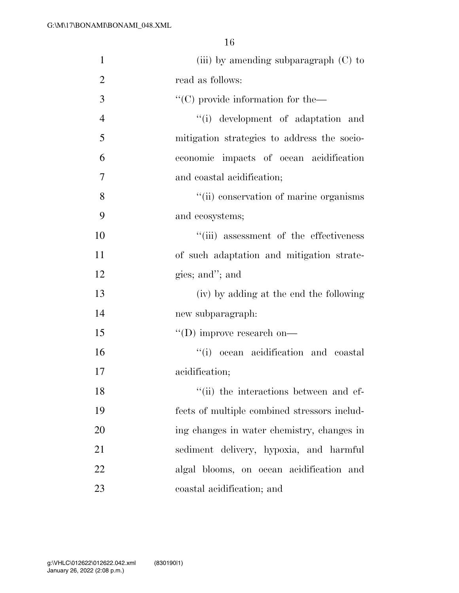| $\mathbf{1}$   | (iii) by amending subparagraph $(C)$ to        |
|----------------|------------------------------------------------|
| $\overline{2}$ | read as follows:                               |
| 3              | $\lq\lq$ (C) provide information for the $\lq$ |
| $\overline{4}$ | "(i) development of adaptation and             |
| 5              | mitigation strategies to address the socio-    |
| 6              | economic impacts of ocean acidification        |
| 7              | and coastal acidification;                     |
| 8              | "(ii) conservation of marine organisms         |
| 9              | and ecosystems;                                |
| 10             | "(iii) assessment of the effectiveness         |
| 11             | of such adaptation and mitigation strate-      |
| 12             | gies; and"; and                                |
| 13             | (iv) by adding at the end the following        |
| 14             | new subparagraph:                              |
| 15             | $\lq\lq$ (D) improve research on-              |
| 16             | "(i) ocean acidification and coastal           |
| 17             | acidification;                                 |
| 18             | "(ii) the interactions between and ef-         |
| 19             | fects of multiple combined stressors includ-   |
| 20             | ing changes in water chemistry, changes in     |
| 21             | sediment delivery, hypoxia, and harmful        |
| 22             | algal blooms, on ocean acidification and       |
| 23             | coastal acidification; and                     |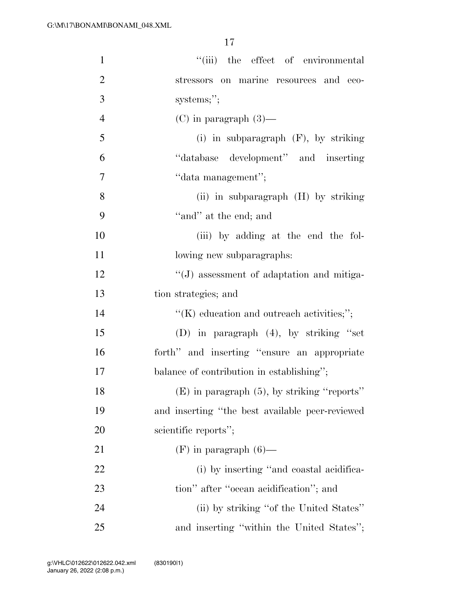| $\mathbf{1}$   | "(iii) the effect of environmental               |
|----------------|--------------------------------------------------|
| $\overline{2}$ | stressors on marine resources and eco-           |
| 3              | systems;";                                       |
| $\overline{4}$ | $(C)$ in paragraph $(3)$ —                       |
| 5              | (i) in subparagraph $(F)$ , by striking          |
| 6              | "database development" and inserting             |
| $\overline{7}$ | "data management";                               |
| 8              | (ii) in subparagraph (H) by striking             |
| 9              | "and" at the end; and                            |
| 10             | (iii) by adding at the end the fol-              |
| 11             | lowing new subparagraphs:                        |
| 12             | "(J) assessment of adaptation and mitiga-        |
| 13             | tion strategies; and                             |
| 14             | $\lq\lq$ education and outreach activities;";    |
| 15             | (D) in paragraph $(4)$ , by striking "set        |
| 16             | forth" and inserting "ensure an appropriate      |
| $17\,$         | balance of contribution in establishing";        |
| 18             | $(E)$ in paragraph $(5)$ , by striking "reports" |
| 19             | and inserting "the best available peer-reviewed  |
| 20             | scientific reports";                             |
| 21             | $(F)$ in paragraph $(6)$ —                       |
| 22             | (i) by inserting "and coastal acidifica-         |
| 23             | tion" after "ocean acidification"; and           |
| 24             | (ii) by striking "of the United States"          |
| 25             | and inserting "within the United States";        |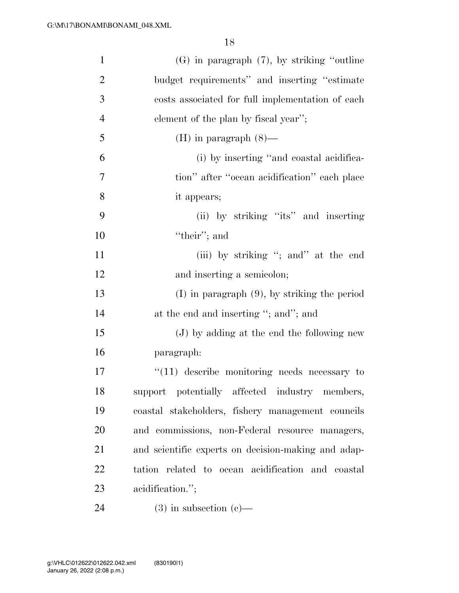| $\mathbf{1}$   | $(G)$ in paragraph $(7)$ , by striking "outline"    |
|----------------|-----------------------------------------------------|
| $\overline{2}$ | budget requirements" and inserting "estimate"       |
| 3              | costs associated for full implementation of each    |
| $\overline{4}$ | element of the plan by fiscal year";                |
| 5              | $(H)$ in paragraph $(8)$ —                          |
| 6              | (i) by inserting "and coastal acidifica-            |
| 7              | tion" after "ocean acidification" each place        |
| 8              | it appears;                                         |
| 9              | (ii) by striking "its" and inserting                |
| 10             | "their"; and                                        |
| 11             | (iii) by striking "; and" at the end                |
| 12             | and inserting a semicolon;                          |
| 13             | $(I)$ in paragraph $(9)$ , by striking the period   |
| 14             | at the end and inserting "; and"; and               |
| 15             | (J) by adding at the end the following new          |
| 16             | paragraph:                                          |
| 17             | $\lq(11)$ describe monitoring needs necessary to    |
| 18             | support potentially affected industry members,      |
| 19             | coastal stakeholders, fishery management councils   |
| 20             | and commissions, non-Federal resource managers,     |
| 21             | and scientific experts on decision-making and adap- |
| 22             | tation related to ocean acidification and coastal   |
| 23             | acidification.";                                    |
| 24             | $(3)$ in subsection $(e)$ —                         |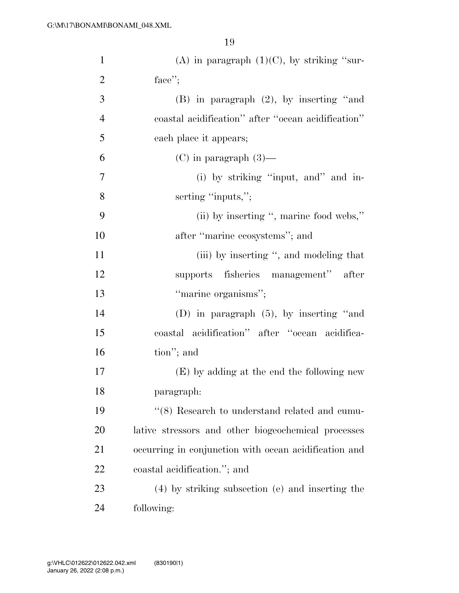| $\mathbf{1}$   | (A) in paragraph $(1)(C)$ , by striking "sur-         |
|----------------|-------------------------------------------------------|
| $\overline{2}$ | face";                                                |
| 3              | $(B)$ in paragraph $(2)$ , by inserting "and          |
| $\overline{4}$ | coastal acidification" after "ocean acidification"    |
| 5              | each place it appears;                                |
| 6              | $(C)$ in paragraph $(3)$ —                            |
| $\overline{7}$ | (i) by striking "input, and" and in-                  |
| 8              | serting "inputs,";                                    |
| 9              | (ii) by inserting ", marine food webs,"               |
| 10             | after "marine ecosystems"; and                        |
| 11             | (iii) by inserting ", and modeling that               |
| 12             | supports fisheries management" after                  |
| 13             | "marine organisms";                                   |
| 14             | (D) in paragraph $(5)$ , by inserting "and            |
| 15             | coastal acidification" after "ocean acidifica-        |
| 16             | tion"; and                                            |
| 17             | (E) by adding at the end the following new            |
| 18             | paragraph:                                            |
| 19             | "(8) Research to understand related and cumu-         |
| 20             | lative stressors and other biogeochemical processes   |
| 21             | occurring in conjunction with ocean acidification and |
| 22             | coastal acidification."; and                          |
| 23             | (4) by striking subsection (e) and inserting the      |
| 24             | following:                                            |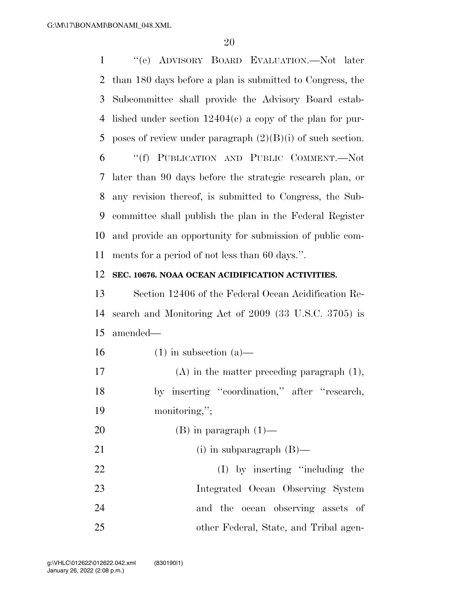''(e) ADVISORY BOARD EVALUATION.—Not later than 180 days before a plan is submitted to Congress, the Subcommittee shall provide the Advisory Board estab- lished under section 12404(c) a copy of the plan for pur-5 poses of review under paragraph  $(2)(B)(i)$  of such section.

 ''(f) PUBLICATION AND PUBLIC COMMENT.—Not later than 90 days before the strategic research plan, or any revision thereof, is submitted to Congress, the Sub- committee shall publish the plan in the Federal Register and provide an opportunity for submission of public com-ments for a period of not less than 60 days.''.

#### **SEC. 10676. NOAA OCEAN ACIDIFICATION ACTIVITIES.**

 Section 12406 of the Federal Ocean Acidification Re- search and Monitoring Act of 2009 (33 U.S.C. 3705) is amended—

- 16 (1) in subsection  $(a)$ —
- (A) in the matter preceding paragraph (1), by inserting ''coordination,'' after ''research, monitoring,'';
- 20 (B) in paragraph  $(1)$ —
- 21 (i) in subparagraph (B)— 22 (I) by inserting "including the Integrated Ocean Observing System and the ocean observing assets of other Federal, State, and Tribal agen-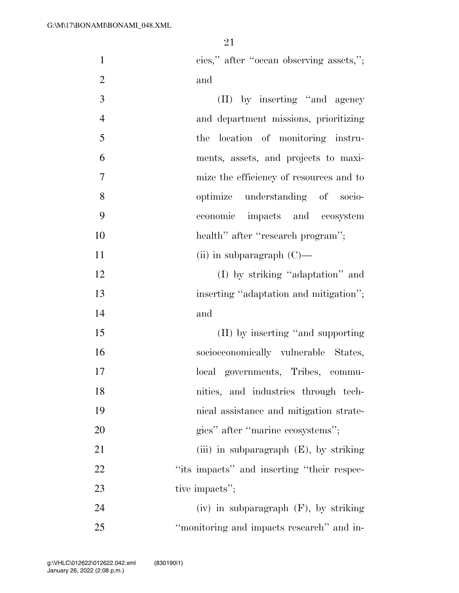| $\mathbf{1}$   | cies," after "ocean observing assets,";    |
|----------------|--------------------------------------------|
| $\overline{2}$ | and                                        |
| $\mathfrak{Z}$ | (II) by inserting "and agency"             |
| $\overline{4}$ | and department missions, prioritizing      |
| 5              | the location of monitoring instru-         |
| 6              | ments, assets, and projects to maxi-       |
| 7              | mize the efficiency of resources and to    |
| 8              | optimize understanding of socio-           |
| 9              | economic impacts and ecosystem             |
| 10             | health" after "research program";          |
| 11             | (ii) in subparagraph $(C)$ —               |
| 12             | (I) by striking "adaptation" and           |
| 13             | inserting "adaptation and mitigation";     |
| 14             | and                                        |
| 15             | (II) by inserting "and supporting          |
| 16             | socioeconomically vulnerable States,       |
| 17             | local governments, Tribes, commu-          |
| 18             | nities, and industries through tech-       |
| 19             | nical assistance and mitigation strate-    |
| 20             | gies" after "marine ecosystems";           |
| 21             | (iii) in subparagraph $(E)$ , by striking  |
| 22             | "its impacts" and inserting "their respec- |
| 23             | tive impacts";                             |
| 24             | $(iv)$ in subparagraph $(F)$ , by striking |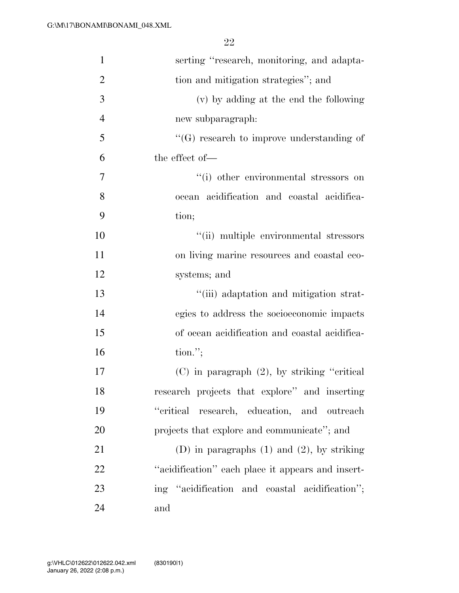| $\mathbf{1}$   | serting "research, monitoring, and adapta-        |
|----------------|---------------------------------------------------|
| $\overline{2}$ | tion and mitigation strategies"; and              |
| 3              | (v) by adding at the end the following            |
| $\overline{4}$ | new subparagraph:                                 |
| 5              | $\lq\lq(G)$ research to improve understanding of  |
| 6              | the effect of-                                    |
| 7              | "(i) other environmental stressors on             |
| 8              | ocean acidification and coastal acidifica-        |
| 9              | tion;                                             |
| 10             | "(ii) multiple environmental stressors            |
| 11             | on living marine resources and coastal eco-       |
| 12             | systems; and                                      |
| 13             | "(iii) adaptation and mitigation strat-           |
| 14             | egies to address the socioeconomic impacts        |
| 15             | of ocean acidification and coastal acidifica-     |
| 16             | $\text{tion."};$                                  |
| 17             | $(C)$ in paragraph $(2)$ , by striking "critical" |
| 18             | research projects that explore" and inserting     |
| 19             | "critical research, education, and outreach       |
| 20             | projects that explore and communicate"; and       |
| 21             | (D) in paragraphs $(1)$ and $(2)$ , by striking   |
| 22             | "acidification" each place it appears and insert- |
| 23             | ing "acidification and coastal acidification";    |
| 24             | and                                               |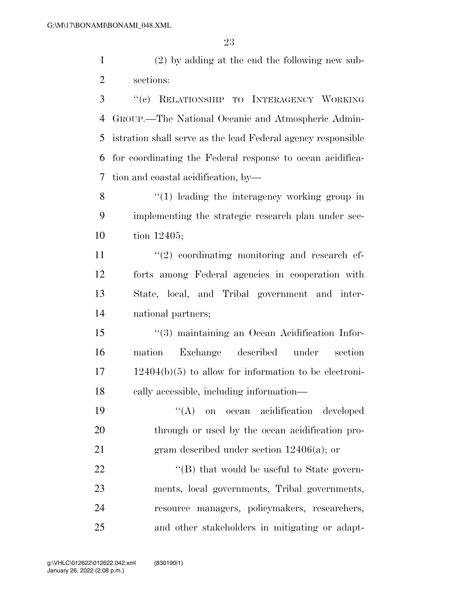(2) by adding at the end the following new sub-sections:

 ''(c) RELATIONSHIP TO INTERAGENCY WORKING GROUP.—The National Oceanic and Atmospheric Admin- istration shall serve as the lead Federal agency responsible for coordinating the Federal response to ocean acidifica-tion and coastal acidification, by—

8 "(1) leading the interagency working group in implementing the strategic research plan under sec-tion 12405;

 $\frac{11}{2}$  ''(2) coordinating monitoring and research ef- forts among Federal agencies in cooperation with State, local, and Tribal government and inter-national partners;

 ''(3) maintaining an Ocean Acidification Infor- mation Exchange described under section 12404(b)(5) to allow for information to be electroni-cally accessible, including information—

 ''(A) on ocean acidification developed 20 through or used by the ocean acidification pro-21 gram described under section 12406(a); or

22 "'(B) that would be useful to State govern- ments, local governments, Tribal governments, resource managers, policymakers, researchers, and other stakeholders in mitigating or adapt-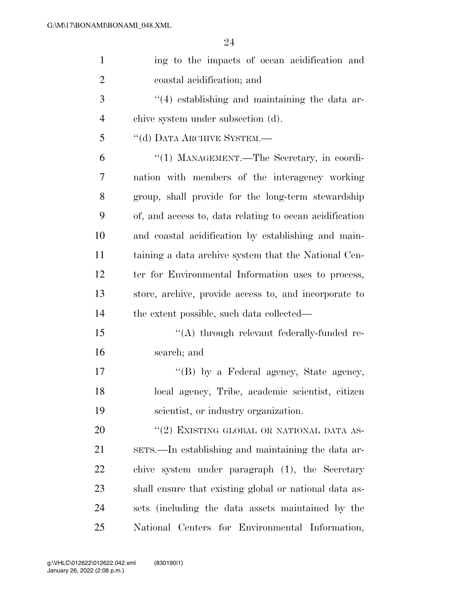| $\mathbf{1}$   | ing to the impacts of ocean acidification and           |
|----------------|---------------------------------------------------------|
| $\overline{2}$ | coastal acidification; and                              |
| 3              | $\cdot$ (4) establishing and maintaining the data ar-   |
| 4              | chive system under subsection (d).                      |
| 5              | "(d) DATA ARCHIVE SYSTEM.-                              |
| 6              | "(1) MANAGEMENT.—The Secretary, in coordi-              |
| 7              | nation with members of the interagency working          |
| 8              | group, shall provide for the long-term stewardship      |
| 9              | of, and access to, data relating to ocean acidification |
| 10             | and coastal acidification by establishing and main-     |
| 11             | taining a data archive system that the National Cen-    |
| 12             | ter for Environmental Information uses to process,      |
| 13             | store, archive, provide access to, and incorporate to   |
| 14             | the extent possible, such data collected—               |
| 15             | "(A) through relevant federally-funded re-              |
| 16             | search; and                                             |
| 17             | "(B) by a Federal agency, State agency,                 |
| 18             | local agency, Tribe, academic scientist, citizen        |
| 19             | scientist, or industry organization.                    |
| 20             | "(2) EXISTING GLOBAL OR NATIONAL DATA AS-               |
| 21             | sers.—In establishing and maintaining the data ar-      |
| 22             | chive system under paragraph (1), the Secretary         |
| 23             | shall ensure that existing global or national data as-  |
| 24             | sets (including the data assets maintained by the       |
| 25             | National Centers for Environmental Information,         |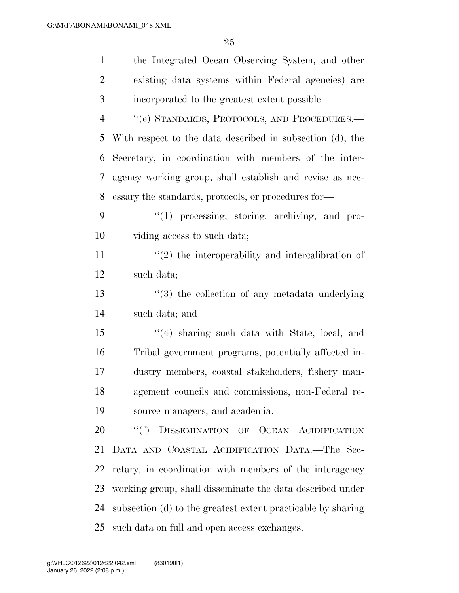| $\mathbf{1}$   | the Integrated Ocean Observing System, and other             |
|----------------|--------------------------------------------------------------|
| $\overline{2}$ | existing data systems within Federal agencies) are           |
| 3              | incorporated to the greatest extent possible.                |
| $\overline{4}$ | "(e) STANDARDS, PROTOCOLS, AND PROCEDURES.-                  |
| 5              | With respect to the data described in subsection (d), the    |
| 6              | Secretary, in coordination with members of the inter-        |
| 7              | agency working group, shall establish and revise as nec-     |
| 8              | essary the standards, protocols, or procedures for-          |
| 9              | "(1) processing, storing, archiving, and pro-                |
| 10             | viding access to such data;                                  |
| 11             | $f'(2)$ the interoperability and intercalibration of         |
| 12             | such data;                                                   |
| 13             | $(3)$ the collection of any metadata underlying              |
| 14             | such data; and                                               |
| 15             | $(4)$ sharing such data with State, local, and               |
| 16             | Tribal government programs, potentially affected in-         |
| 17             | dustry members, coastal stakeholders, fishery man-           |
| 18             | agement councils and commissions, non-Federal re-            |
| 19             | source managers, and academia.                               |
| 20             | ``(f)<br>DISSEMINATION OF OCEAN ACIDIFICATION                |
| 21             | DATA AND COASTAL ACIDIFICATION DATA.-The Sec-                |
| 22             | retary, in coordination with members of the interagency      |
| 23             | working group, shall disseminate the data described under    |
| 24             | subsection (d) to the greatest extent practicable by sharing |
| 25             | such data on full and open access exchanges.                 |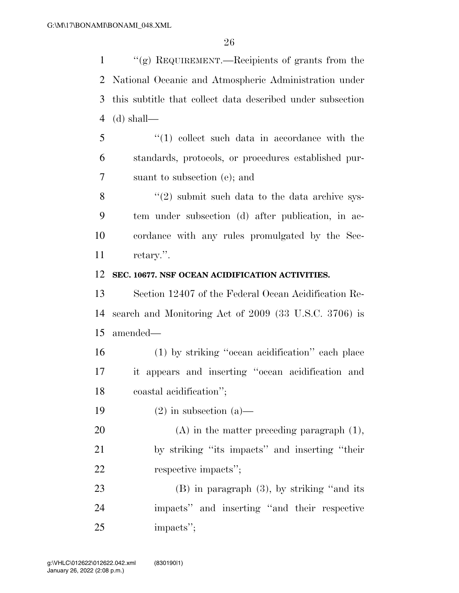''(g) REQUIREMENT.—Recipients of grants from the National Oceanic and Atmospheric Administration under this subtitle that collect data described under subsection 4 (d) shall—

 ''(1) collect such data in accordance with the standards, protocols, or procedures established pur-suant to subsection (e); and

 $\frac{8}{2}$  ''(2) submit such data to the data archive sys- tem under subsection (d) after publication, in ac- cordance with any rules promulgated by the Sec-retary.''.

#### **SEC. 10677. NSF OCEAN ACIDIFICATION ACTIVITIES.**

 Section 12407 of the Federal Ocean Acidification Re- search and Monitoring Act of 2009 (33 U.S.C. 3706) is amended—

 (1) by striking ''ocean acidification'' each place it appears and inserting ''ocean acidification and coastal acidification'';

19  $(2)$  in subsection  $(a)$ —

20  $(A)$  in the matter preceding paragraph  $(1)$ , by striking ''its impacts'' and inserting ''their respective impacts'';

 (B) in paragraph (3), by striking ''and its impacts'' and inserting ''and their respective impacts'';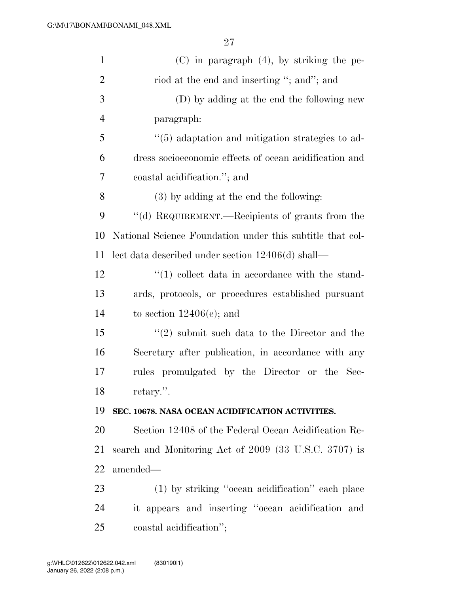| $\mathbf{1}$   | $(C)$ in paragraph $(4)$ , by striking the pe-                |
|----------------|---------------------------------------------------------------|
| $\overline{2}$ | riod at the end and inserting "; and"; and                    |
| 3              | (D) by adding at the end the following new                    |
| $\overline{4}$ | paragraph:                                                    |
| 5              | "(5) adaptation and mitigation strategies to ad-              |
| 6              | dress socioeconomic effects of ocean acidification and        |
| 7              | coastal acidification."; and                                  |
| 8              | $(3)$ by adding at the end the following:                     |
| 9              | "(d) REQUIREMENT.—Recipients of grants from the               |
| 10             | National Science Foundation under this subtitle that col-     |
| 11             | lect data described under section 12406(d) shall—             |
| 12             | $\lq(1)$ collect data in accordance with the stand-           |
| 13             | ards, protocols, or procedures established pursuant           |
| 14             | to section $12406(e)$ ; and                                   |
| 15             | $\cdot\cdot\cdot(2)$ submit such data to the Director and the |
| 16             | Secretary after publication, in accordance with any           |
| 17             | promulgated by the Director or the Sec-<br>rules              |
| 18             | retary.".                                                     |
| 19             | SEC. 10678. NASA OCEAN ACIDIFICATION ACTIVITIES.              |
| 20             | Section 12408 of the Federal Ocean Acidification Re-          |
| 21             | search and Monitoring Act of 2009 (33 U.S.C. 3707) is         |
| 22             | amended—                                                      |
| 23             | (1) by striking "ocean acidification" each place              |
| 24             | it appears and inserting "ocean acidification and             |
| 25             | coastal acidification";                                       |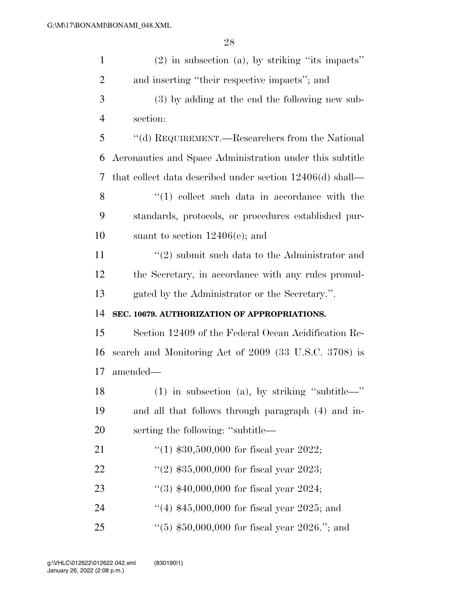| $\mathbf{1}$   | $(2)$ in subsection $(a)$ , by striking "its impacts"       |
|----------------|-------------------------------------------------------------|
| $\overline{2}$ | and inserting "their respective impacts"; and               |
| 3              | (3) by adding at the end the following new sub-             |
| $\overline{4}$ | section:                                                    |
| 5              | "(d) REQUIREMENT.—Researchers from the National             |
| 6              | Aeronautics and Space Administration under this subtitle    |
| 7              | that collect data described under section $12406(d)$ shall— |
| 8              | $\lq(1)$ collect such data in accordance with the           |
| 9              | standards, protocols, or procedures established pur-        |
| 10             | suant to section $12406(e)$ ; and                           |
| 11             | $\lq(2)$ submit such data to the Administrator and          |
| 12             | the Secretary, in accordance with any rules promul-         |
| 13             | gated by the Administrator or the Secretary.".              |
| 14             | SEC. 10679. AUTHORIZATION OF APPROPRIATIONS.                |
| 15             | Section 12409 of the Federal Ocean Acidification Re-        |
| 16             | search and Monitoring Act of 2009 (33 U.S.C. 3708) is       |
| 17             |                                                             |
|                | amended—                                                    |
| 18             | $(1)$ in subsection (a), by striking "subtitle—"            |
| 19             | and all that follows through paragraph (4) and in-          |
| 20             | serting the following: "subtitle—                           |
| 21             | "(1) $$30,500,000$ for fiscal year 2022;                    |
| 22             | "(2) $$35,000,000$ for fiscal year 2023;                    |
| 23             | "(3) $$40,000,000$ for fiscal year 2024;                    |
| 24             | "(4) $$45,000,000$ for fiscal year 2025; and                |